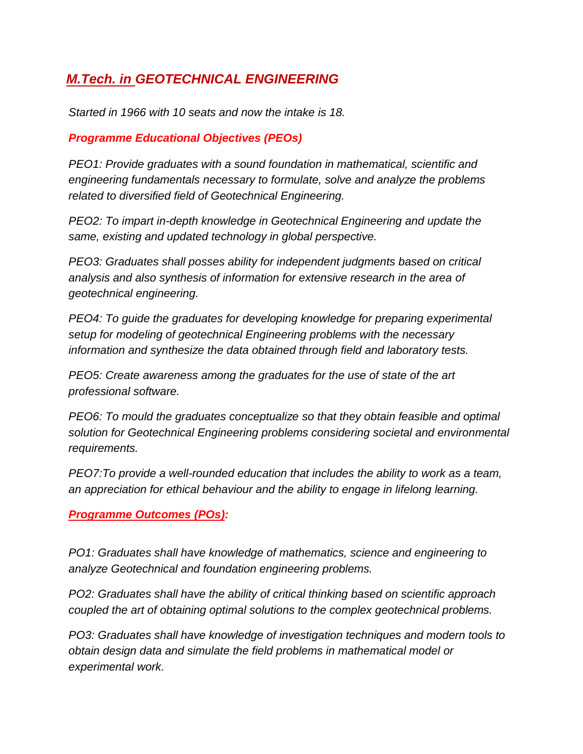## *M.Tech. in GEOTECHNICAL ENGINEERING*

*Started in 1966 with 10 seats and now the intake is 18.* 

## *Programme Educational Objectives (PEOs)*

*PEO1: Provide graduates with a sound foundation in mathematical, scientific and engineering fundamentals necessary to formulate, solve and analyze the problems related to diversified field of Geotechnical Engineering.* 

*PEO2: To impart in-depth knowledge in Geotechnical Engineering and update the same, existing and updated technology in global perspective.* 

*PEO3: Graduates shall posses ability for independent judgments based on critical analysis and also synthesis of information for extensive research in the area of geotechnical engineering.* 

*PEO4: To guide the graduates for developing knowledge for preparing experimental setup for modeling of geotechnical Engineering problems with the necessary information and synthesize the data obtained through field and laboratory tests.* 

*PEO5: Create awareness among the graduates for the use of state of the art professional software.* 

*PEO6: To mould the graduates conceptualize so that they obtain feasible and optimal solution for Geotechnical Engineering problems considering societal and environmental requirements.* 

*PEO7:To provide a well-rounded education that includes the ability to work as a team, an appreciation for ethical behaviour and the ability to engage in lifelong learning.*

## *Programme Outcomes (POs):*

*PO1: Graduates shall have knowledge of mathematics, science and engineering to analyze Geotechnical and foundation engineering problems.* 

*PO2: Graduates shall have the ability of critical thinking based on scientific approach coupled the art of obtaining optimal solutions to the complex geotechnical problems.* 

*PO3: Graduates shall have knowledge of investigation techniques and modern tools to obtain design data and simulate the field problems in mathematical model or experimental work.*